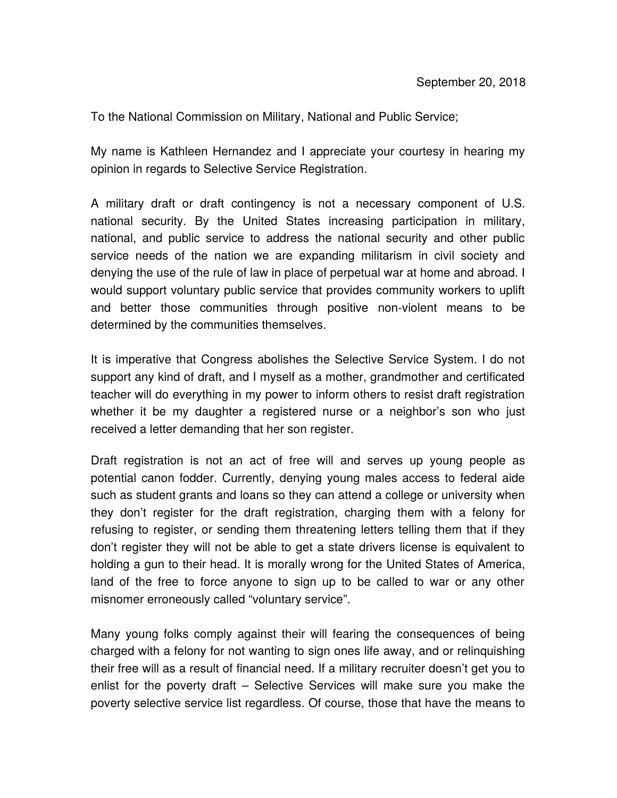To the National Commission on Military, National and Public Service;

My name is Kathleen Hernandez and I appreciate your courtesy in hearing my opinion in regards to Selective Service Registration.

A military draft or draft contingency is not a necessary component of U.S. national security. By the United States increasing participation in military, national, and public service to address the national security and other public service needs of the nation we are expanding militarism in civil society and denying the use of the rule of law in place of perpetual war at home and abroad. I would support voluntary public service that provides community workers to uplift and better those communities through positive non-violent means to be determined by the communities themselves.

It is imperative that Congress abolishes the Selective Service System. I do not support any kind of draft, and I myself as a mother, grandmother and certificated teacher will do everything in my power to inform others to resist draft registration whether it be my daughter a registered nurse or a neighbor's son who just received a letter demanding that her son register.

Draft registration is not an act of free will and serves up young people as potential canon fodder. Currently, denying young males access to federal aide such as student grants and loans so they can attend a college or university when they don't register for the draft registration, charging them with a felony for refusing to register, or sending them threatening letters telling them that if they don't register they will not be able to get a state drivers license is equivalent to holding a gun to their head. It is morally wrong for the United States of America, land of the free to force anyone to sign up to be called to war or any other misnomer erroneously called "voluntary service".

Many young folks comply against their will fearing the consequences of being charged with a felony for not wanting to sign ones life away, and or relinquishing their free will as a result of financial need. If a military recruiter doesn't get you to enlist for the poverty draft – Selective Services will make sure you make the poverty selective service list regardless. Of course, those that have the means to